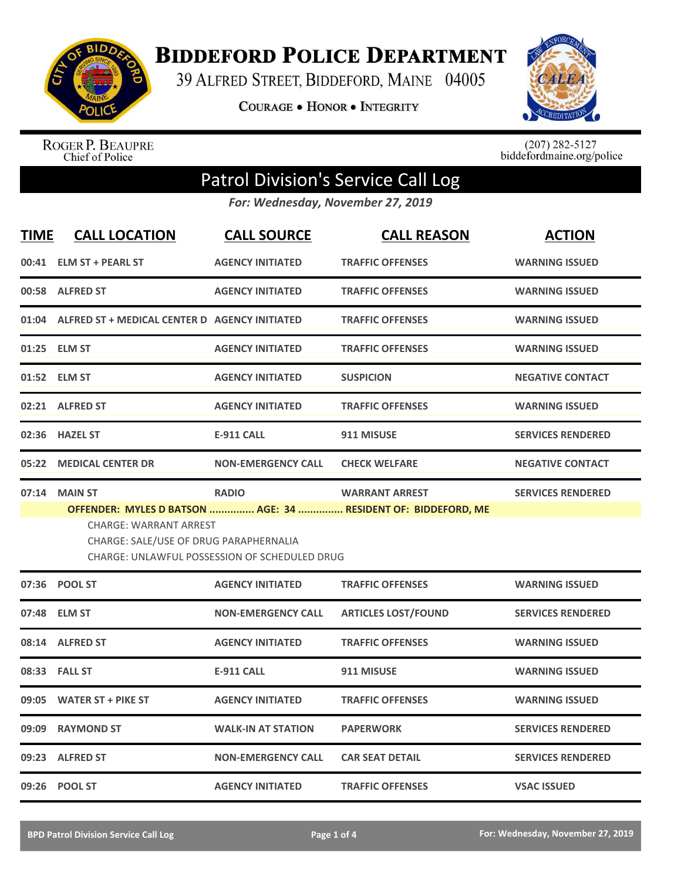

## **BIDDEFORD POLICE DEPARTMENT**

39 ALFRED STREET, BIDDEFORD, MAINE 04005

**COURAGE . HONOR . INTEGRITY** 



ROGER P. BEAUPRE<br>Chief of Police

 $(207)$  282-5127<br>biddefordmaine.org/police

## Patrol Division's Service Call Log

*For: Wednesday, November 27, 2019*

| <b>TIME</b> | <b>CALL LOCATION</b>                                                    | <b>CALL SOURCE</b>                            | <b>CALL REASON</b>                                                                     | <b>ACTION</b>            |
|-------------|-------------------------------------------------------------------------|-----------------------------------------------|----------------------------------------------------------------------------------------|--------------------------|
|             | 00:41 ELM ST + PEARL ST                                                 | <b>AGENCY INITIATED</b>                       | <b>TRAFFIC OFFENSES</b>                                                                | <b>WARNING ISSUED</b>    |
|             | 00:58 ALFRED ST                                                         | <b>AGENCY INITIATED</b>                       | <b>TRAFFIC OFFENSES</b>                                                                | <b>WARNING ISSUED</b>    |
|             | 01:04 ALFRED ST + MEDICAL CENTER D AGENCY INITIATED                     |                                               | <b>TRAFFIC OFFENSES</b>                                                                | <b>WARNING ISSUED</b>    |
|             | 01:25 ELM ST                                                            | <b>AGENCY INITIATED</b>                       | <b>TRAFFIC OFFENSES</b>                                                                | <b>WARNING ISSUED</b>    |
|             | 01:52 ELM ST                                                            | <b>AGENCY INITIATED</b>                       | <b>SUSPICION</b>                                                                       | <b>NEGATIVE CONTACT</b>  |
|             | 02:21 ALFRED ST                                                         | <b>AGENCY INITIATED</b>                       | <b>TRAFFIC OFFENSES</b>                                                                | <b>WARNING ISSUED</b>    |
|             | 02:36 HAZEL ST                                                          | <b>E-911 CALL</b>                             | 911 MISUSE                                                                             | <b>SERVICES RENDERED</b> |
|             | 05:22 MEDICAL CENTER DR                                                 | <b>NON-EMERGENCY CALL</b>                     | <b>CHECK WELFARE</b>                                                                   | <b>NEGATIVE CONTACT</b>  |
|             | 07:14 MAIN ST                                                           | <b>RADIO</b>                                  | <b>WARRANT ARREST</b><br>OFFENDER: MYLES D BATSON  AGE: 34  RESIDENT OF: BIDDEFORD, ME | <b>SERVICES RENDERED</b> |
|             | <b>CHARGE: WARRANT ARREST</b><br>CHARGE: SALE/USE OF DRUG PARAPHERNALIA | CHARGE: UNLAWFUL POSSESSION OF SCHEDULED DRUG |                                                                                        |                          |
|             | 07:36 POOL ST                                                           | <b>AGENCY INITIATED</b>                       | <b>TRAFFIC OFFENSES</b>                                                                | <b>WARNING ISSUED</b>    |
|             | 07:48 ELM ST                                                            | <b>NON-EMERGENCY CALL</b>                     | <b>ARTICLES LOST/FOUND</b>                                                             | <b>SERVICES RENDERED</b> |
|             | 08:14 ALFRED ST                                                         | <b>AGENCY INITIATED</b>                       | <b>TRAFFIC OFFENSES</b>                                                                | <b>WARNING ISSUED</b>    |
|             | 08:33 FALL ST                                                           | <b>E-911 CALL</b>                             | 911 MISUSE                                                                             | <b>WARNING ISSUED</b>    |
| 09:05       | <b>WATER ST + PIKE ST</b>                                               | <b>AGENCY INITIATED</b>                       | <b>TRAFFIC OFFENSES</b>                                                                | <b>WARNING ISSUED</b>    |
| 09:09       | <b>RAYMOND ST</b>                                                       | <b>WALK-IN AT STATION</b>                     | <b>PAPERWORK</b>                                                                       | <b>SERVICES RENDERED</b> |
|             | 09:23 ALFRED ST                                                         | <b>NON-EMERGENCY CALL</b>                     | <b>CAR SEAT DETAIL</b>                                                                 | <b>SERVICES RENDERED</b> |
|             | 09:26 POOL ST                                                           | <b>AGENCY INITIATED</b>                       | <b>TRAFFIC OFFENSES</b>                                                                | <b>VSAC ISSUED</b>       |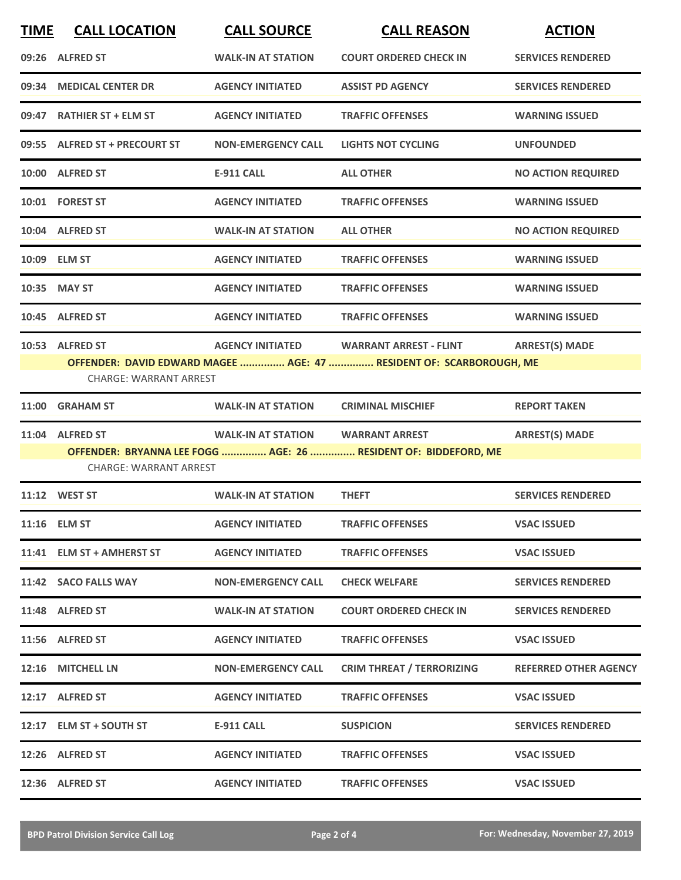| <b>TIME</b> | <b>CALL LOCATION</b>                             | <b>CALL SOURCE</b>        | <b>CALL REASON</b>                                                                                   | <b>ACTION</b>                |
|-------------|--------------------------------------------------|---------------------------|------------------------------------------------------------------------------------------------------|------------------------------|
|             | 09:26 ALFRED ST                                  | <b>WALK-IN AT STATION</b> | <b>COURT ORDERED CHECK IN</b>                                                                        | <b>SERVICES RENDERED</b>     |
|             | 09:34 MEDICAL CENTER DR                          | <b>AGENCY INITIATED</b>   | <b>ASSIST PD AGENCY</b>                                                                              | <b>SERVICES RENDERED</b>     |
|             | 09:47 RATHIER ST + ELM ST                        | <b>AGENCY INITIATED</b>   | <b>TRAFFIC OFFENSES</b>                                                                              | <b>WARNING ISSUED</b>        |
|             | 09:55 ALFRED ST + PRECOURT ST                    | <b>NON-EMERGENCY CALL</b> | <b>LIGHTS NOT CYCLING</b>                                                                            | <b>UNFOUNDED</b>             |
|             | 10:00 ALFRED ST                                  | <b>E-911 CALL</b>         | <b>ALL OTHER</b>                                                                                     | <b>NO ACTION REQUIRED</b>    |
|             | 10:01 FOREST ST                                  | <b>AGENCY INITIATED</b>   | <b>TRAFFIC OFFENSES</b>                                                                              | <b>WARNING ISSUED</b>        |
|             | 10:04 ALFRED ST                                  | <b>WALK-IN AT STATION</b> | <b>ALL OTHER</b>                                                                                     | <b>NO ACTION REQUIRED</b>    |
|             | 10:09 ELM ST                                     | <b>AGENCY INITIATED</b>   | <b>TRAFFIC OFFENSES</b>                                                                              | <b>WARNING ISSUED</b>        |
|             | 10:35 MAY ST                                     | <b>AGENCY INITIATED</b>   | <b>TRAFFIC OFFENSES</b>                                                                              | <b>WARNING ISSUED</b>        |
|             | 10:45 ALFRED ST                                  | <b>AGENCY INITIATED</b>   | <b>TRAFFIC OFFENSES</b>                                                                              | <b>WARNING ISSUED</b>        |
|             | 10:53 ALFRED ST<br><b>CHARGE: WARRANT ARREST</b> | <b>AGENCY INITIATED</b>   | <b>WARRANT ARREST - FLINT</b><br>OFFENDER: DAVID EDWARD MAGEE  AGE: 47  RESIDENT OF: SCARBOROUGH, ME | <b>ARREST(S) MADE</b>        |
| 11:00       | <b>GRAHAM ST</b>                                 | <b>WALK-IN AT STATION</b> | <b>CRIMINAL MISCHIEF</b>                                                                             | <b>REPORT TAKEN</b>          |
| 11:04       | <b>ALFRED ST</b>                                 | <b>WALK-IN AT STATION</b> | <b>WARRANT ARREST</b>                                                                                | <b>ARREST(S) MADE</b>        |
|             | <b>CHARGE: WARRANT ARREST</b>                    |                           | OFFENDER: BRYANNA LEE FOGG  AGE: 26  RESIDENT OF: BIDDEFORD, ME                                      |                              |
|             | 11:12 WEST ST                                    | <b>WALK-IN AT STATION</b> | <b>THEFT</b>                                                                                         | <b>SERVICES RENDERED</b>     |
|             | 11:16 ELM ST                                     | <b>AGENCY INITIATED</b>   | <b>TRAFFIC OFFENSES</b>                                                                              | <b>VSAC ISSUED</b>           |
|             | 11:41 ELM ST + AMHERST ST                        | <b>AGENCY INITIATED</b>   | <b>TRAFFIC OFFENSES</b>                                                                              | <b>VSAC ISSUED</b>           |
|             | 11:42 SACO FALLS WAY                             | <b>NON-EMERGENCY CALL</b> | <b>CHECK WELFARE</b>                                                                                 | <b>SERVICES RENDERED</b>     |
|             | 11:48 ALFRED ST                                  | <b>WALK-IN AT STATION</b> | <b>COURT ORDERED CHECK IN</b>                                                                        | <b>SERVICES RENDERED</b>     |
|             | 11:56 ALFRED ST                                  | <b>AGENCY INITIATED</b>   | <b>TRAFFIC OFFENSES</b>                                                                              | <b>VSAC ISSUED</b>           |
|             | 12:16 MITCHELL LN                                | <b>NON-EMERGENCY CALL</b> | <b>CRIM THREAT / TERRORIZING</b>                                                                     | <b>REFERRED OTHER AGENCY</b> |
|             | 12:17 ALFRED ST                                  | <b>AGENCY INITIATED</b>   | <b>TRAFFIC OFFENSES</b>                                                                              | <b>VSAC ISSUED</b>           |
|             | 12:17 ELM ST + SOUTH ST                          | <b>E-911 CALL</b>         | <b>SUSPICION</b>                                                                                     | <b>SERVICES RENDERED</b>     |
|             | 12:26 ALFRED ST                                  | <b>AGENCY INITIATED</b>   | <b>TRAFFIC OFFENSES</b>                                                                              | <b>VSAC ISSUED</b>           |
|             | 12:36 ALFRED ST                                  | <b>AGENCY INITIATED</b>   | <b>TRAFFIC OFFENSES</b>                                                                              | <b>VSAC ISSUED</b>           |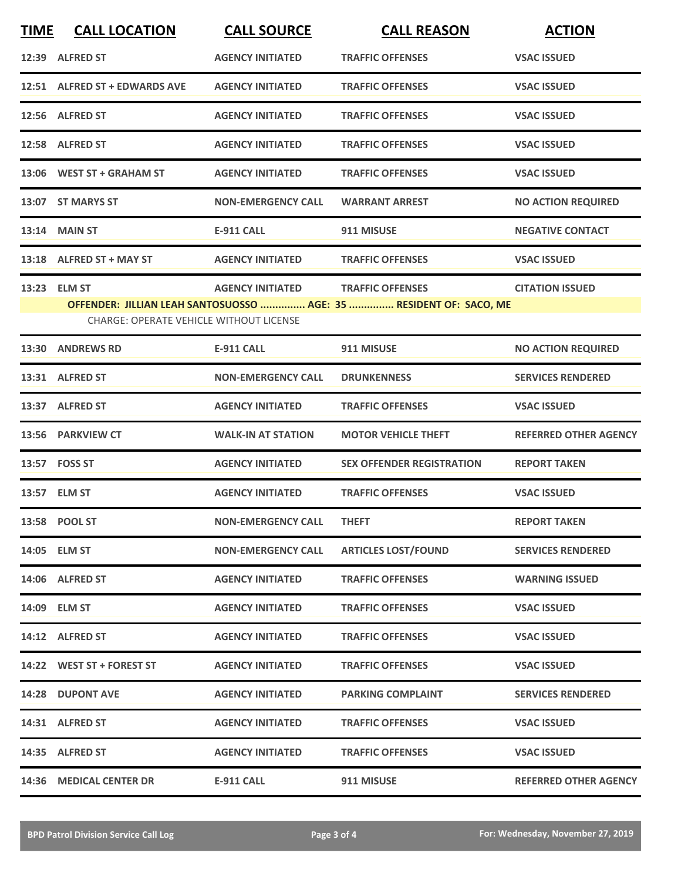| <b>TIME</b> | <b>CALL LOCATION</b>                           | <b>CALL SOURCE</b>        | <b>CALL REASON</b>                                                 | <b>ACTION</b>                |
|-------------|------------------------------------------------|---------------------------|--------------------------------------------------------------------|------------------------------|
|             | 12:39 ALFRED ST                                | <b>AGENCY INITIATED</b>   | <b>TRAFFIC OFFENSES</b>                                            | <b>VSAC ISSUED</b>           |
|             | 12:51 ALFRED ST + EDWARDS AVE                  | <b>AGENCY INITIATED</b>   | <b>TRAFFIC OFFENSES</b>                                            | <b>VSAC ISSUED</b>           |
|             | 12:56 ALFRED ST                                | <b>AGENCY INITIATED</b>   | <b>TRAFFIC OFFENSES</b>                                            | <b>VSAC ISSUED</b>           |
|             | 12:58 ALFRED ST                                | <b>AGENCY INITIATED</b>   | <b>TRAFFIC OFFENSES</b>                                            | <b>VSAC ISSUED</b>           |
|             | 13:06 WEST ST + GRAHAM ST                      | <b>AGENCY INITIATED</b>   | <b>TRAFFIC OFFENSES</b>                                            | <b>VSAC ISSUED</b>           |
|             | 13:07 ST MARYS ST                              | <b>NON-EMERGENCY CALL</b> | <b>WARRANT ARREST</b>                                              | <b>NO ACTION REQUIRED</b>    |
|             | 13:14 MAIN ST                                  | <b>E-911 CALL</b>         | 911 MISUSE                                                         | <b>NEGATIVE CONTACT</b>      |
|             | 13:18 ALFRED ST + MAY ST                       | <b>AGENCY INITIATED</b>   | <b>TRAFFIC OFFENSES</b>                                            | <b>VSAC ISSUED</b>           |
| 13:23       | <b>ELM ST</b>                                  | <b>AGENCY INITIATED</b>   | <b>TRAFFIC OFFENSES</b>                                            | <b>CITATION ISSUED</b>       |
|             | <b>CHARGE: OPERATE VEHICLE WITHOUT LICENSE</b> |                           | OFFENDER: JILLIAN LEAH SANTOSUOSSO  AGE: 35  RESIDENT OF: SACO, ME |                              |
| 13:30       | <b>ANDREWS RD</b>                              | <b>E-911 CALL</b>         | 911 MISUSE                                                         | <b>NO ACTION REQUIRED</b>    |
|             | 13:31 ALFRED ST                                | <b>NON-EMERGENCY CALL</b> | <b>DRUNKENNESS</b>                                                 | <b>SERVICES RENDERED</b>     |
|             | 13:37 ALFRED ST                                | <b>AGENCY INITIATED</b>   | <b>TRAFFIC OFFENSES</b>                                            | <b>VSAC ISSUED</b>           |
|             | 13:56 PARKVIEW CT                              | <b>WALK-IN AT STATION</b> | <b>MOTOR VEHICLE THEFT</b>                                         | <b>REFERRED OTHER AGENCY</b> |
|             | 13:57 FOSS ST                                  | <b>AGENCY INITIATED</b>   | <b>SEX OFFENDER REGISTRATION</b>                                   | <b>REPORT TAKEN</b>          |
|             | 13:57 ELM ST                                   | <b>AGENCY INITIATED</b>   | <b>TRAFFIC OFFENSES</b>                                            | <b>VSAC ISSUED</b>           |
|             | 13:58 POOL ST                                  | <b>NON-EMERGENCY CALL</b> | <b>THEFT</b>                                                       | <b>REPORT TAKEN</b>          |
|             | 14:05 ELM ST                                   | <b>NON-EMERGENCY CALL</b> | <b>ARTICLES LOST/FOUND</b>                                         | <b>SERVICES RENDERED</b>     |
|             | 14:06 ALFRED ST                                | <b>AGENCY INITIATED</b>   | <b>TRAFFIC OFFENSES</b>                                            | <b>WARNING ISSUED</b>        |
|             | 14:09 ELM ST                                   | <b>AGENCY INITIATED</b>   | <b>TRAFFIC OFFENSES</b>                                            | <b>VSAC ISSUED</b>           |
|             | 14:12 ALFRED ST                                | <b>AGENCY INITIATED</b>   | <b>TRAFFIC OFFENSES</b>                                            | <b>VSAC ISSUED</b>           |
|             | 14:22 WEST ST + FOREST ST                      | <b>AGENCY INITIATED</b>   | <b>TRAFFIC OFFENSES</b>                                            | <b>VSAC ISSUED</b>           |
|             | 14:28 DUPONT AVE                               | <b>AGENCY INITIATED</b>   | <b>PARKING COMPLAINT</b>                                           | <b>SERVICES RENDERED</b>     |
|             | 14:31 ALFRED ST                                | <b>AGENCY INITIATED</b>   | <b>TRAFFIC OFFENSES</b>                                            | <b>VSAC ISSUED</b>           |
|             | 14:35 ALFRED ST                                | <b>AGENCY INITIATED</b>   | <b>TRAFFIC OFFENSES</b>                                            | <b>VSAC ISSUED</b>           |
|             | 14:36 MEDICAL CENTER DR                        | E-911 CALL                | 911 MISUSE                                                         | <b>REFERRED OTHER AGENCY</b> |